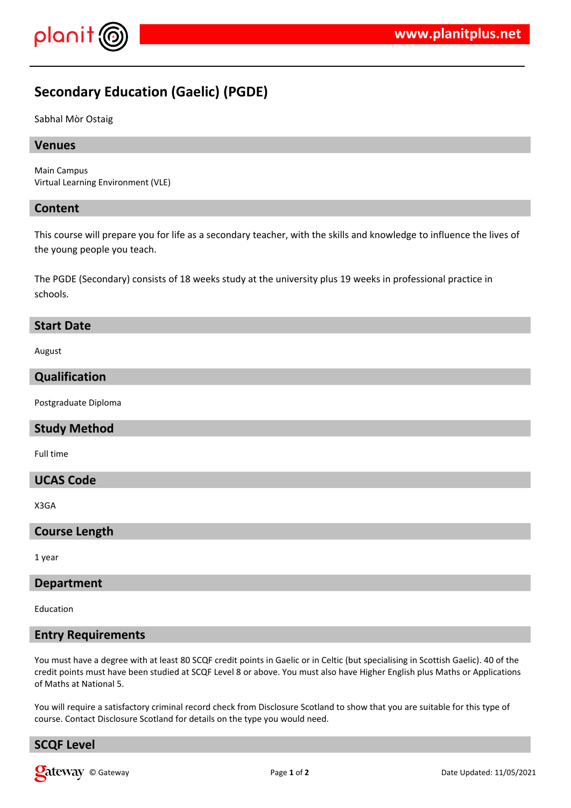

# **Secondary Education (Gaelic) (PGDE)**

Sabhal Mòr Ostaig

#### **Venues**

Main Campus Virtual Learning Environment (VLE)

#### **Content**

This course will prepare you for life as a secondary teacher, with the skills and knowledge to influence the lives of the young people you teach.

The PGDE (Secondary) consists of 18 weeks study at the university plus 19 weeks in professional practice in schools.

#### **Start Date**

August

### **Qualification**

Postgraduate Diploma

#### **Study Method**

Full time

#### **UCAS Code**

X3GA

#### **Course Length**

1 year

#### **Department**

Education

#### **Entry Requirements**

You must have a degree with at least 80 SCQF credit points in Gaelic or in Celtic (but specialising in Scottish Gaelic). 40 of the credit points must have been studied at SCQF Level 8 or above. You must also have Higher English plus Maths or Applications of Maths at National 5.

You will require a satisfactory criminal record check from Disclosure Scotland to show that you are suitable for this type of course. Contact Disclosure Scotland for details on the type you would need.

# **SCQF Level**